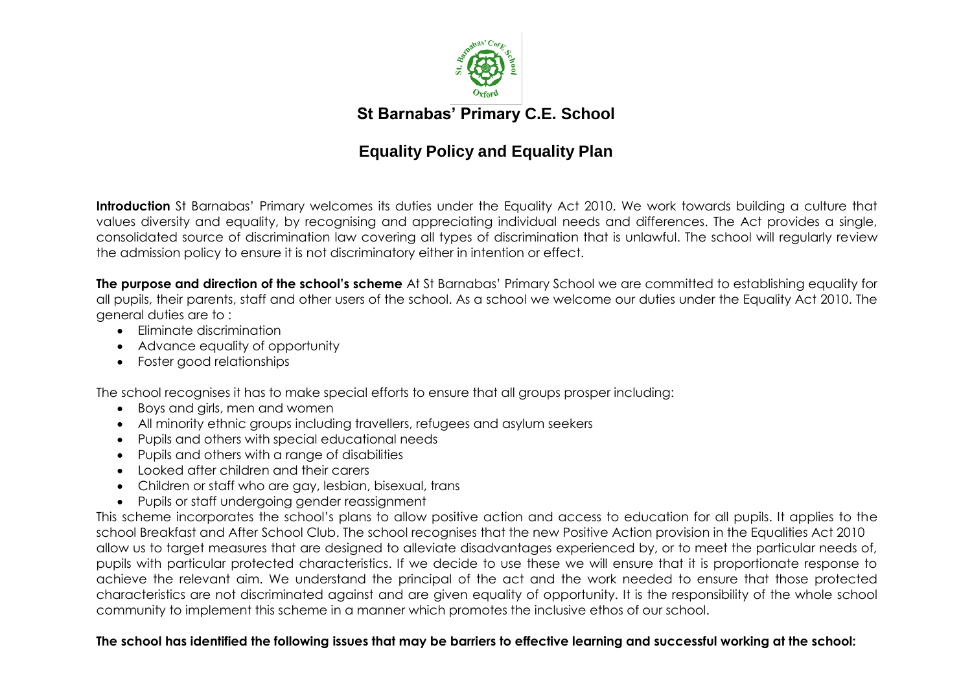

**St Barnabas' Primary C.E. School**

# **Equality Policy and Equality Plan**

**Introduction** St Barnabas' Primary welcomes its duties under the Equality Act 2010. We work towards building a culture that values diversity and equality, by recognising and appreciating individual needs and differences. The Act provides a single, consolidated source of discrimination law covering all types of discrimination that is unlawful. The school will regularly review the admission policy to ensure it is not discriminatory either in intention or effect.

**The purpose and direction of the school's scheme** At St Barnabas' Primary School we are committed to establishing equality for all pupils, their parents, staff and other users of the school. As a school we welcome our duties under the Equality Act 2010. The general duties are to :

- Eliminate discrimination
- Advance equality of opportunity
- Foster good relationships

The school recognises it has to make special efforts to ensure that all groups prosper including:

- Boys and girls, men and women
- All minority ethnic groups including travellers, refugees and asylum seekers
- Pupils and others with special educational needs
- Pupils and others with a range of disabilities
- Looked after children and their carers
- Children or staff who are gay, lesbian, bisexual, trans
- Pupils or staff undergoing gender reassignment

This scheme incorporates the school's plans to allow positive action and access to education for all pupils. It applies to the school Breakfast and After School Club. The school recognises that the new Positive Action provision in the Equalities Act 2010 allow us to target measures that are designed to alleviate disadvantages experienced by, or to meet the particular needs of, pupils with particular protected characteristics. If we decide to use these we will ensure that it is proportionate response to achieve the relevant aim. We understand the principal of the act and the work needed to ensure that those protected characteristics are not discriminated against and are given equality of opportunity. It is the responsibility of the whole school community to implement this scheme in a manner which promotes the inclusive ethos of our school.

# **The school has identified the following issues that may be barriers to effective learning and successful working at the school:**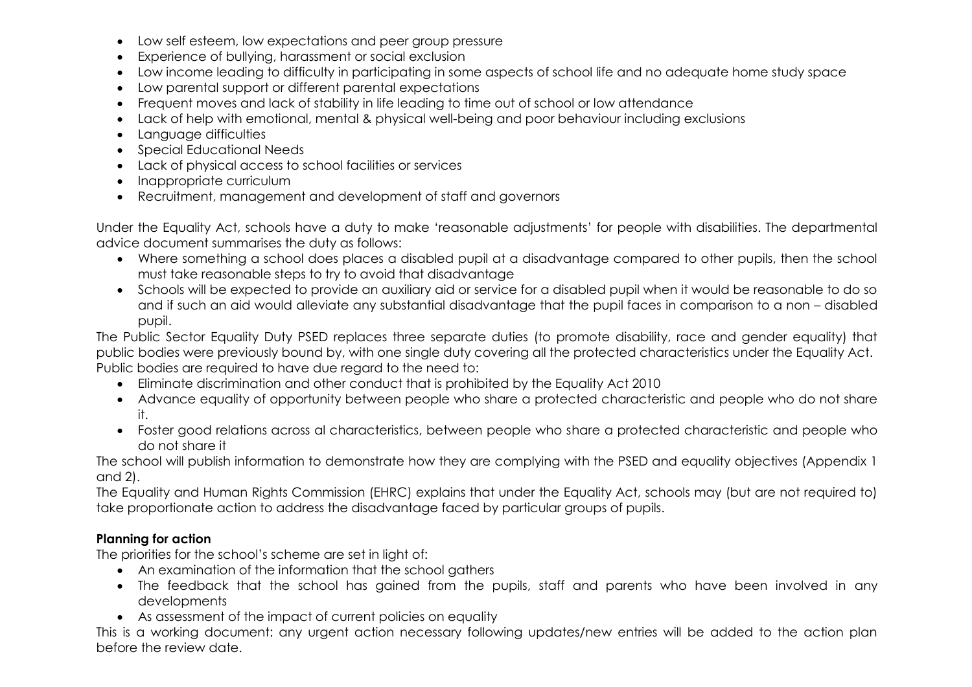- Low self esteem, low expectations and peer group pressure
- Experience of bullying, harassment or social exclusion
- Low income leading to difficulty in participating in some aspects of school life and no adequate home study space
- Low parental support or different parental expectations
- Frequent moves and lack of stability in life leading to time out of school or low attendance
- Lack of help with emotional, mental & physical well-being and poor behaviour including exclusions
- Language difficulties
- Special Educational Needs
- Lack of physical access to school facilities or services
- Inappropriate curriculum
- Recruitment, management and development of staff and governors

Under the Equality Act, schools have a duty to make 'reasonable adjustments' for people with disabilities. The departmental advice document summarises the duty as follows:

- Where something a school does places a disabled pupil at a disadvantage compared to other pupils, then the school must take reasonable steps to try to avoid that disadvantage
- Schools will be expected to provide an auxiliary aid or service for a disabled pupil when it would be reasonable to do so and if such an aid would alleviate any substantial disadvantage that the pupil faces in comparison to a non – disabled pupil.

The Public Sector Equality Duty PSED replaces three separate duties (to promote disability, race and gender equality) that public bodies were previously bound by, with one single duty covering all the protected characteristics under the Equality Act. Public bodies are required to have due regard to the need to:

- Eliminate discrimination and other conduct that is prohibited by the Equality Act 2010
- Advance equality of opportunity between people who share a protected characteristic and people who do not share it.
- Foster good relations across al characteristics, between people who share a protected characteristic and people who do not share it

The school will publish information to demonstrate how they are complying with the PSED and equality objectives (Appendix 1 and 2).

The Equality and Human Rights Commission (EHRC) explains that under the Equality Act, schools may (but are not required to) take proportionate action to address the disadvantage faced by particular groups of pupils.

# **Planning for action**

The priorities for the school's scheme are set in light of:

- An examination of the information that the school gathers
- The feedback that the school has gained from the pupils, staff and parents who have been involved in any developments
- As assessment of the impact of current policies on equality

This is a working document: any urgent action necessary following updates/new entries will be added to the action plan before the review date.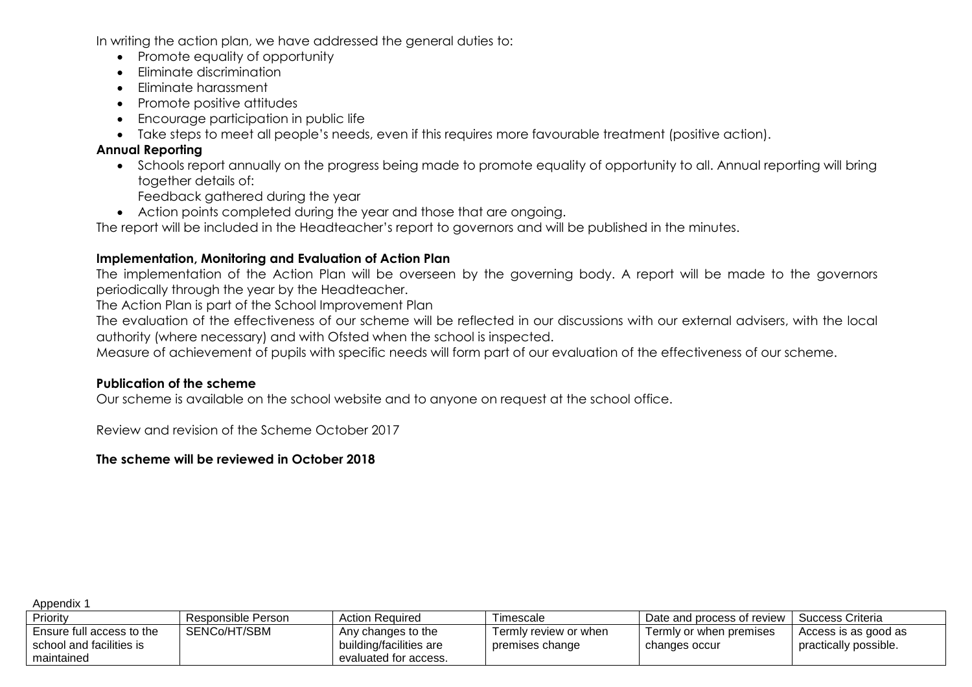In writing the action plan, we have addressed the general duties to:

- Promote equality of opportunity
- Eliminate discrimination
- Eliminate harassment
- Promote positive attitudes
- Encourage participation in public life
- Take steps to meet all people's needs, even if this requires more favourable treatment (positive action).

### **Annual Reporting**

 Schools report annually on the progress being made to promote equality of opportunity to all. Annual reporting will bring together details of:

Feedback gathered during the year

Action points completed during the year and those that are ongoing.

The report will be included in the Headteacher's report to governors and will be published in the minutes.

#### **Implementation, Monitoring and Evaluation of Action Plan**

The implementation of the Action Plan will be overseen by the governing body. A report will be made to the governors periodically through the year by the Headteacher.

The Action Plan is part of the School Improvement Plan

The evaluation of the effectiveness of our scheme will be reflected in our discussions with our external advisers, with the local authority (where necessary) and with Ofsted when the school is inspected.

Measure of achievement of pupils with specific needs will form part of our evaluation of the effectiveness of our scheme.

#### **Publication of the scheme**

Our scheme is available on the school website and to anyone on request at the school office.

Review and revision of the Scheme October 2017

## **The scheme will be reviewed in October 2018**

Appendix 1

| Priority                  | Responsible Person_ | <b>Action Required</b>  | I imescale            | Date and process of review | Success Criteria      |
|---------------------------|---------------------|-------------------------|-----------------------|----------------------------|-----------------------|
| Ensure full access to the | SENCo/HT/SBM        | Any changes to the      | Termly review or when | Termly or when premises    | Access is as good as  |
| school and facilities is  |                     | building/facilities are | premises change       | changes occur              | practically possible. |
| maintained                |                     | evaluated for access.   |                       |                            |                       |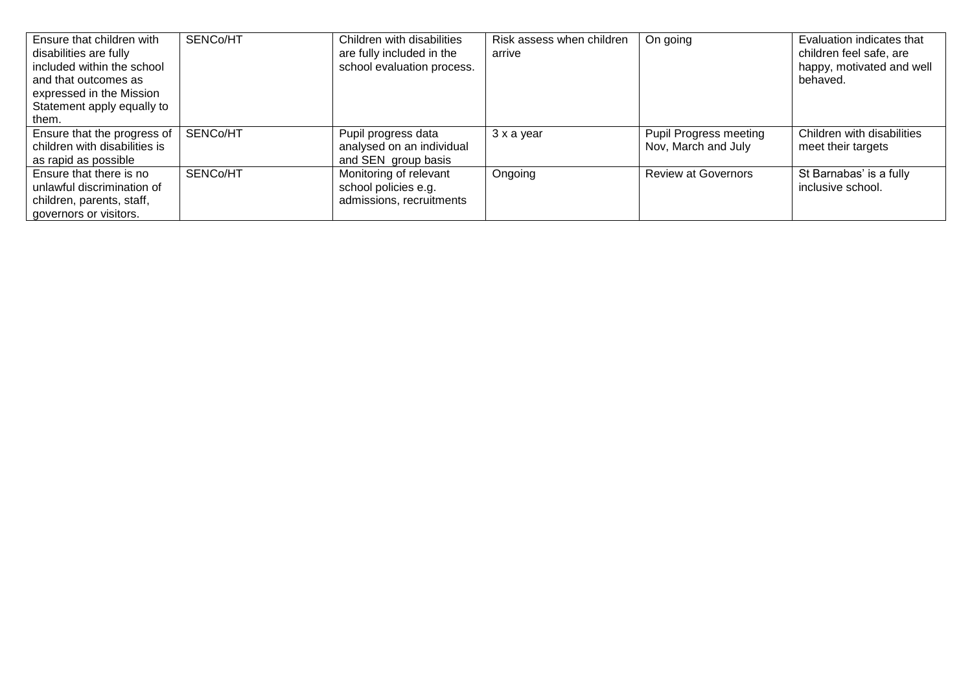| Ensure that children with<br>disabilities are fully<br>included within the school<br>and that outcomes as<br>expressed in the Mission<br>Statement apply equally to<br>them. | SENCo/HT | Children with disabilities<br>are fully included in the<br>school evaluation process. | Risk assess when children<br>arrive | On going                                             | Evaluation indicates that<br>children feel safe, are<br>happy, motivated and well<br>behaved. |
|------------------------------------------------------------------------------------------------------------------------------------------------------------------------------|----------|---------------------------------------------------------------------------------------|-------------------------------------|------------------------------------------------------|-----------------------------------------------------------------------------------------------|
| Ensure that the progress of<br>children with disabilities is<br>as rapid as possible                                                                                         | SENCo/HT | Pupil progress data<br>analysed on an individual<br>and SEN group basis               | 3 x a year                          | <b>Pupil Progress meeting</b><br>Nov, March and July | Children with disabilities<br>meet their targets                                              |
| Ensure that there is no<br>unlawful discrimination of<br>children, parents, staff,<br>governors or visitors.                                                                 | SENCo/HT | Monitoring of relevant<br>school policies e.g.<br>admissions, recruitments            | Ongoing                             | <b>Review at Governors</b>                           | St Barnabas' is a fully<br>inclusive school.                                                  |